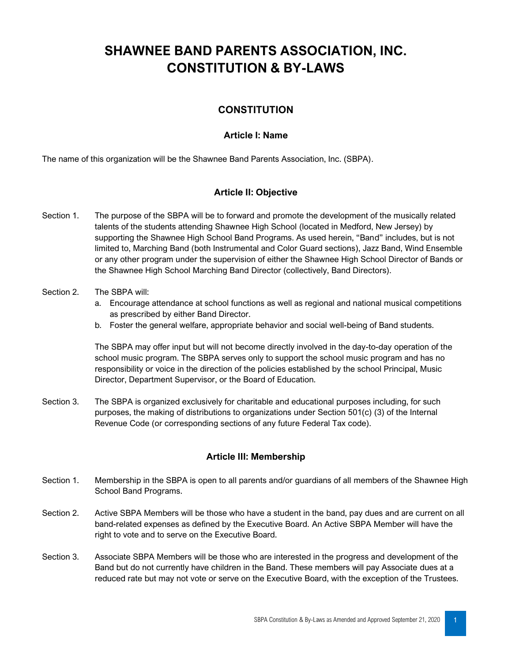# **SHAWNEE BAND PARENTS ASSOCIATION, INC. CONSTITUTION & BY-LAWS**

# **CONSTITUTION**

## **Article I: Name**

The name of this organization will be the Shawnee Band Parents Association, Inc. (SBPA).

#### **Article II: Objective**

- Section 1. The purpose of the SBPA will be to forward and promote the development of the musically related talents of the students attending Shawnee High School (located in Medford, New Jersey) by supporting the Shawnee High School Band Programs. As used herein, "Band" includes, but is not limited to, Marching Band (both Instrumental and Color Guard sections), Jazz Band, Wind Ensemble or any other program under the supervision of either the Shawnee High School Director of Bands or the Shawnee High School Marching Band Director (collectively, Band Directors).
- Section 2. The SBPA will:
	- a. Encourage attendance at school functions as well as regional and national musical competitions as prescribed by either Band Director.
	- b. Foster the general welfare, appropriate behavior and social well-being of Band students.

The SBPA may offer input but will not become directly involved in the day-to-day operation of the school music program. The SBPA serves only to support the school music program and has no responsibility or voice in the direction of the policies established by the school Principal, Music Director, Department Supervisor, or the Board of Education.

Section 3. The SBPA is organized exclusively for charitable and educational purposes including, for such purposes, the making of distributions to organizations under Section 501(c) (3) of the Internal Revenue Code (or corresponding sections of any future Federal Tax code).

#### **Article III: Membership**

- Section 1. Membership in the SBPA is open to all parents and/or guardians of all members of the Shawnee High School Band Programs.
- Section 2. Active SBPA Members will be those who have a student in the band, pay dues and are current on all band-related expenses as defined by the Executive Board. An Active SBPA Member will have the right to vote and to serve on the Executive Board.
- Section 3. Associate SBPA Members will be those who are interested in the progress and development of the Band but do not currently have children in the Band. These members will pay Associate dues at a reduced rate but may not vote or serve on the Executive Board, with the exception of the Trustees.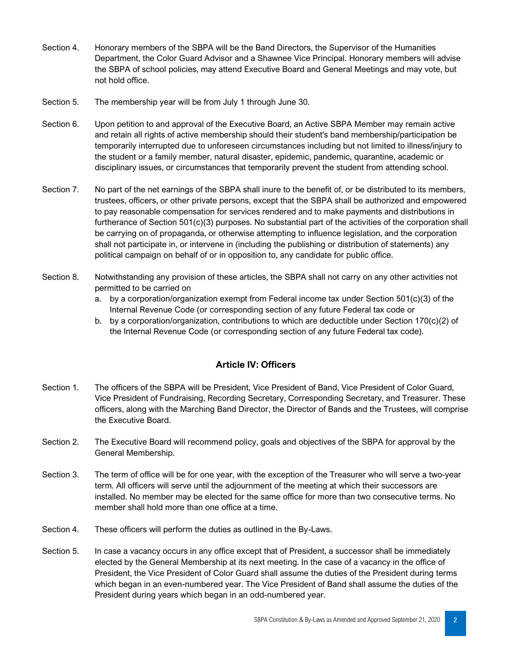- Section 4. Honorary members of the SBPA will be the Band Directors, the Supervisor of the Humanities Department, the Color Guard Advisor and a Shawnee Vice Principal. Honorary members will advise the SBPA of school policies, may attend Executive Board and General Meetings and may vote, but not hold office.
- Section 5. The membership year will be from July 1 through June 30.
- Section 6. Upon petition to and approval of the Executive Board, an Active SBPA Member may remain active and retain all rights of active membership should their student's band membership/participation be temporarily interrupted due to unforeseen circumstances including but not limited to illness/injury to the student or a family member, natural disaster, epidemic, pandemic, quarantine, academic or disciplinary issues, or circumstances that temporarily prevent the student from attending school.
- Section 7. No part of the net earnings of the SBPA shall inure to the benefit of, or be distributed to its members, trustees, officers, or other private persons, except that the SBPA shall be authorized and empowered to pay reasonable compensation for services rendered and to make payments and distributions in furtherance of Section 501(c)(3) purposes. No substantial part of the activities of the corporation shall be carrying on of propaganda, or otherwise attempting to influence legislation, and the corporation shall not participate in, or intervene in (including the publishing or distribution of statements) any political campaign on behalf of or in opposition to, any candidate for public office.
- Section 8. Notwithstanding any provision of these articles, the SBPA shall not carry on any other activities not permitted to be carried on
	- a. by a corporation/organization exempt from Federal income tax under Section 501(c)(3) of the Internal Revenue Code (or corresponding section of any future Federal tax code or
	- b. by a corporation/organization, contributions to which are deductible under Section 170(c)(2) of the Internal Revenue Code (or corresponding section of any future Federal tax code).

#### **Article IV: Officers**

- Section 1. The officers of the SBPA will be President, Vice President of Band, Vice President of Color Guard, Vice President of Fundraising, Recording Secretary, Corresponding Secretary, and Treasurer. These officers, along with the Marching Band Director, the Director of Bands and the Trustees, will comprise the Executive Board.
- Section 2. The Executive Board will recommend policy, goals and objectives of the SBPA for approval by the General Membership.
- Section 3. The term of office will be for one year, with the exception of the Treasurer who will serve a two-year term. All officers will serve until the adjournment of the meeting at which their successors are installed. No member may be elected for the same office for more than two consecutive terms. No member shall hold more than one office at a time.
- Section 4. These officers will perform the duties as outlined in the By-Laws.
- Section 5. In case a vacancy occurs in any office except that of President, a successor shall be immediately elected by the General Membership at its next meeting. In the case of a vacancy in the office of President, the Vice President of Color Guard shall assume the duties of the President during terms which began in an even-numbered year. The Vice President of Band shall assume the duties of the President during years which began in an odd-numbered year.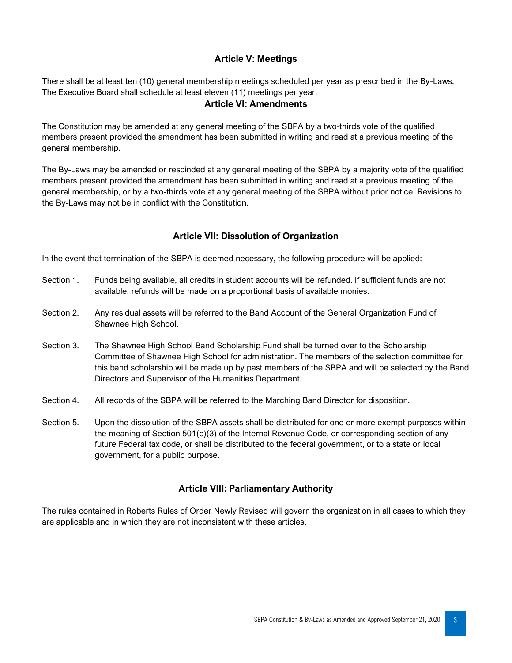## **Article V: Meetings**

There shall be at least ten (10) general membership meetings scheduled per year as prescribed in the By-Laws. The Executive Board shall schedule at least eleven (11) meetings per year.

## **Article VI: Amendments**

The Constitution may be amended at any general meeting of the SBPA by a two-thirds vote of the qualified members present provided the amendment has been submitted in writing and read at a previous meeting of the general membership.

The By-Laws may be amended or rescinded at any general meeting of the SBPA by a majority vote of the qualified members present provided the amendment has been submitted in writing and read at a previous meeting of the general membership, or by a two-thirds vote at any general meeting of the SBPA without prior notice. Revisions to the By-Laws may not be in conflict with the Constitution.

## **Article VII: Dissolution of Organization**

In the event that termination of the SBPA is deemed necessary, the following procedure will be applied:

- Section 1. Funds being available, all credits in student accounts will be refunded. If sufficient funds are not available, refunds will be made on a proportional basis of available monies.
- Section 2. Any residual assets will be referred to the Band Account of the General Organization Fund of Shawnee High School.
- Section 3. The Shawnee High School Band Scholarship Fund shall be turned over to the Scholarship Committee of Shawnee High School for administration. The members of the selection committee for this band scholarship will be made up by past members of the SBPA and will be selected by the Band Directors and Supervisor of the Humanities Department.
- Section 4. All records of the SBPA will be referred to the Marching Band Director for disposition.
- Section 5. Upon the dissolution of the SBPA assets shall be distributed for one or more exempt purposes within the meaning of Section 501(c)(3) of the Internal Revenue Code, or corresponding section of any future Federal tax code, or shall be distributed to the federal government, or to a state or local government, for a public purpose.

# **Article VIII: Parliamentary Authority**

The rules contained in Roberts Rules of Order Newly Revised will govern the organization in all cases to which they are applicable and in which they are not inconsistent with these articles.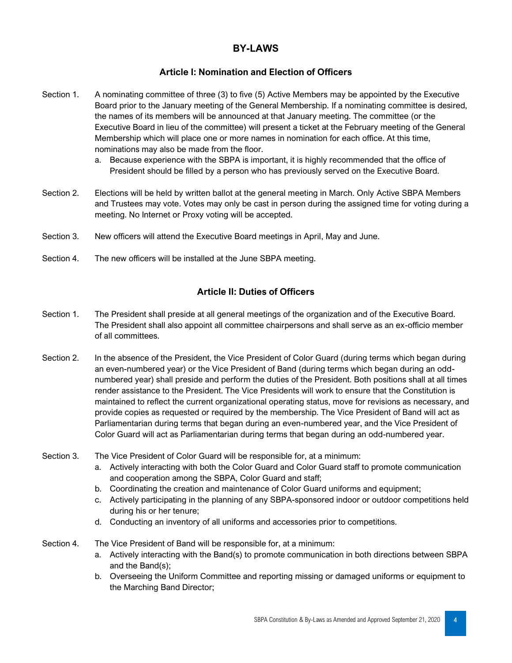# **BY-LAWS**

#### **Article I: Nomination and Election of Officers**

- Section 1. A nominating committee of three (3) to five (5) Active Members may be appointed by the Executive Board prior to the January meeting of the General Membership. If a nominating committee is desired, the names of its members will be announced at that January meeting. The committee (or the Executive Board in lieu of the committee) will present a ticket at the February meeting of the General Membership which will place one or more names in nomination for each office. At this time, nominations may also be made from the floor.
	- a. Because experience with the SBPA is important, it is highly recommended that the office of President should be filled by a person who has previously served on the Executive Board.
- Section 2. Elections will be held by written ballot at the general meeting in March. Only Active SBPA Members and Trustees may vote. Votes may only be cast in person during the assigned time for voting during a meeting. No Internet or Proxy voting will be accepted.
- Section 3. New officers will attend the Executive Board meetings in April, May and June.
- Section 4. The new officers will be installed at the June SBPA meeting.

#### **Article II: Duties of Officers**

- Section 1. The President shall preside at all general meetings of the organization and of the Executive Board. The President shall also appoint all committee chairpersons and shall serve as an ex-officio member of all committees.
- Section 2. In the absence of the President, the Vice President of Color Guard (during terms which began during an even-numbered year) or the Vice President of Band (during terms which began during an oddnumbered year) shall preside and perform the duties of the President. Both positions shall at all times render assistance to the President. The Vice Presidents will work to ensure that the Constitution is maintained to reflect the current organizational operating status, move for revisions as necessary, and provide copies as requested or required by the membership. The Vice President of Band will act as Parliamentarian during terms that began during an even-numbered year, and the Vice President of Color Guard will act as Parliamentarian during terms that began during an odd-numbered year.
- Section 3. The Vice President of Color Guard will be responsible for, at a minimum:
	- a. Actively interacting with both the Color Guard and Color Guard staff to promote communication and cooperation among the SBPA, Color Guard and staff;
	- b. Coordinating the creation and maintenance of Color Guard uniforms and equipment;
	- c. Actively participating in the planning of any SBPA-sponsored indoor or outdoor competitions held during his or her tenure;
	- d. Conducting an inventory of all uniforms and accessories prior to competitions.
- Section 4. The Vice President of Band will be responsible for, at a minimum:
	- a. Actively interacting with the Band(s) to promote communication in both directions between SBPA and the Band(s);
	- b. Overseeing the Uniform Committee and reporting missing or damaged uniforms or equipment to the Marching Band Director;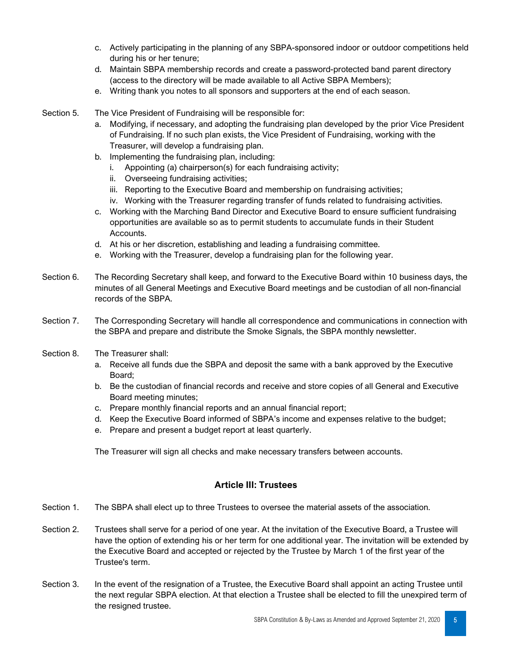- c. Actively participating in the planning of any SBPA-sponsored indoor or outdoor competitions held during his or her tenure;
- d. Maintain SBPA membership records and create a password-protected band parent directory (access to the directory will be made available to all Active SBPA Members);
- e. Writing thank you notes to all sponsors and supporters at the end of each season.
- Section 5. The Vice President of Fundraising will be responsible for:
	- a. Modifying, if necessary, and adopting the fundraising plan developed by the prior Vice President of Fundraising. If no such plan exists, the Vice President of Fundraising, working with the Treasurer, will develop a fundraising plan.
	- b. Implementing the fundraising plan, including:
		- i. Appointing (a) chairperson(s) for each fundraising activity;
		- ii. Overseeing fundraising activities;
		- iii. Reporting to the Executive Board and membership on fundraising activities;
		- iv. Working with the Treasurer regarding transfer of funds related to fundraising activities.
	- c. Working with the Marching Band Director and Executive Board to ensure sufficient fundraising opportunities are available so as to permit students to accumulate funds in their Student Accounts.
	- d. At his or her discretion, establishing and leading a fundraising committee.
	- e. Working with the Treasurer, develop a fundraising plan for the following year.
- Section 6. The Recording Secretary shall keep, and forward to the Executive Board within 10 business days, the minutes of all General Meetings and Executive Board meetings and be custodian of all non-financial records of the SBPA.
- Section 7. The Corresponding Secretary will handle all correspondence and communications in connection with the SBPA and prepare and distribute the Smoke Signals, the SBPA monthly newsletter.
- Section 8. The Treasurer shall:
	- a. Receive all funds due the SBPA and deposit the same with a bank approved by the Executive Board;
	- b. Be the custodian of financial records and receive and store copies of all General and Executive Board meeting minutes;
	- c. Prepare monthly financial reports and an annual financial report;
	- d. Keep the Executive Board informed of SBPA's income and expenses relative to the budget;
	- e. Prepare and present a budget report at least quarterly.

The Treasurer will sign all checks and make necessary transfers between accounts.

#### **Article III: Trustees**

- Section 1. The SBPA shall elect up to three Trustees to oversee the material assets of the association.
- Section 2. Trustees shall serve for a period of one year. At the invitation of the Executive Board, a Trustee will have the option of extending his or her term for one additional year. The invitation will be extended by the Executive Board and accepted or rejected by the Trustee by March 1 of the first year of the Trustee's term.
- Section 3. In the event of the resignation of a Trustee, the Executive Board shall appoint an acting Trustee until the next regular SBPA election. At that election a Trustee shall be elected to fill the unexpired term of the resigned trustee.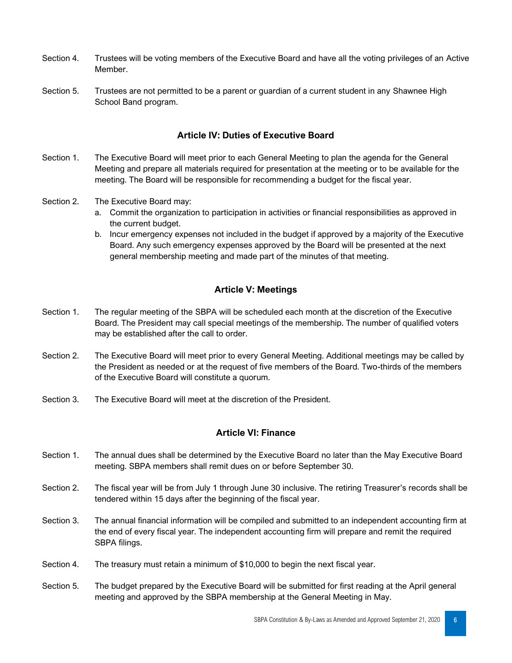- Section 4. Trustees will be voting members of the Executive Board and have all the voting privileges of an Active Member.
- Section 5. Trustees are not permitted to be a parent or guardian of a current student in any Shawnee High School Band program.

#### **Article IV: Duties of Executive Board**

- Section 1. The Executive Board will meet prior to each General Meeting to plan the agenda for the General Meeting and prepare all materials required for presentation at the meeting or to be available for the meeting. The Board will be responsible for recommending a budget for the fiscal year.
- Section 2. The Executive Board may:
	- a. Commit the organization to participation in activities or financial responsibilities as approved in the current budget.
	- b. Incur emergency expenses not included in the budget if approved by a majority of the Executive Board. Any such emergency expenses approved by the Board will be presented at the next general membership meeting and made part of the minutes of that meeting.

#### **Article V: Meetings**

- Section 1. The regular meeting of the SBPA will be scheduled each month at the discretion of the Executive Board. The President may call special meetings of the membership. The number of qualified voters may be established after the call to order.
- Section 2. The Executive Board will meet prior to every General Meeting. Additional meetings may be called by the President as needed or at the request of five members of the Board. Two-thirds of the members of the Executive Board will constitute a quorum.
- Section 3. The Executive Board will meet at the discretion of the President.

#### **Article VI: Finance**

- Section 1. The annual dues shall be determined by the Executive Board no later than the May Executive Board meeting. SBPA members shall remit dues on or before September 30.
- Section 2. The fiscal year will be from July 1 through June 30 inclusive. The retiring Treasurer's records shall be tendered within 15 days after the beginning of the fiscal year.
- Section 3. The annual financial information will be compiled and submitted to an independent accounting firm at the end of every fiscal year. The independent accounting firm will prepare and remit the required SBPA filings.
- Section 4. The treasury must retain a minimum of \$10,000 to begin the next fiscal year.
- Section 5. The budget prepared by the Executive Board will be submitted for first reading at the April general meeting and approved by the SBPA membership at the General Meeting in May.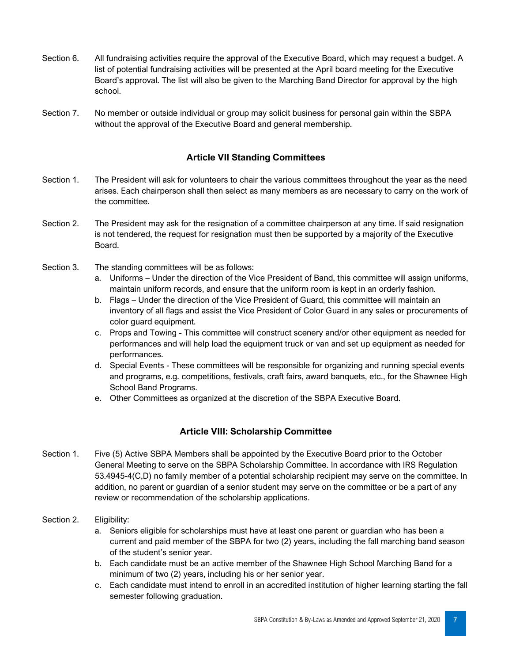- Section 6. All fundraising activities require the approval of the Executive Board, which may request a budget. A list of potential fundraising activities will be presented at the April board meeting for the Executive Board's approval. The list will also be given to the Marching Band Director for approval by the high school.
- Section 7. No member or outside individual or group may solicit business for personal gain within the SBPA without the approval of the Executive Board and general membership.

## **Article VII Standing Committees**

- Section 1. The President will ask for volunteers to chair the various committees throughout the year as the need arises. Each chairperson shall then select as many members as are necessary to carry on the work of the committee.
- Section 2. The President may ask for the resignation of a committee chairperson at any time. If said resignation is not tendered, the request for resignation must then be supported by a majority of the Executive Board.
- Section 3. The standing committees will be as follows:
	- a. Uniforms Under the direction of the Vice President of Band, this committee will assign uniforms, maintain uniform records, and ensure that the uniform room is kept in an orderly fashion.
	- b. Flags Under the direction of the Vice President of Guard, this committee will maintain an inventory of all flags and assist the Vice President of Color Guard in any sales or procurements of color guard equipment.
	- c. Props and Towing This committee will construct scenery and/or other equipment as needed for performances and will help load the equipment truck or van and set up equipment as needed for performances.
	- d. Special Events These committees will be responsible for organizing and running special events and programs, e.g. competitions, festivals, craft fairs, award banquets, etc., for the Shawnee High School Band Programs.
	- e. Other Committees as organized at the discretion of the SBPA Executive Board.

#### **Article VIII: Scholarship Committee**

- Section 1. Five (5) Active SBPA Members shall be appointed by the Executive Board prior to the October General Meeting to serve on the SBPA Scholarship Committee. In accordance with IRS Regulation 53.4945-4(C,D) no family member of a potential scholarship recipient may serve on the committee. In addition, no parent or guardian of a senior student may serve on the committee or be a part of any review or recommendation of the scholarship applications.
- Section 2. Eligibility:
	- a. Seniors eligible for scholarships must have at least one parent or guardian who has been a current and paid member of the SBPA for two (2) years, including the fall marching band season of the student's senior year.
	- b. Each candidate must be an active member of the Shawnee High School Marching Band for a minimum of two (2) years, including his or her senior year.
	- c. Each candidate must intend to enroll in an accredited institution of higher learning starting the fall semester following graduation.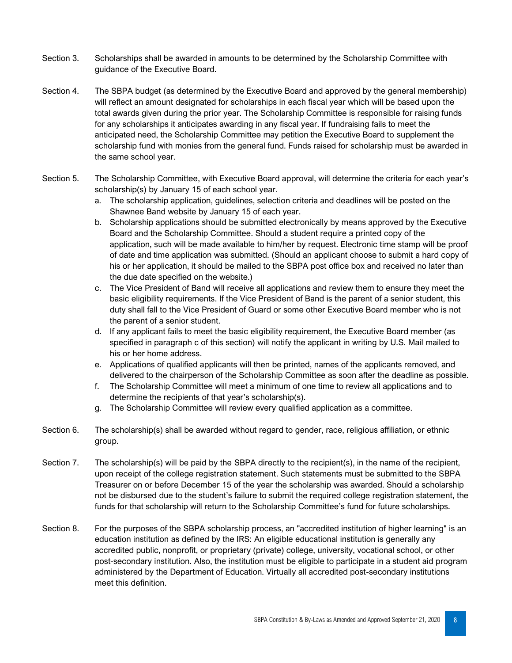- Section 3. Scholarships shall be awarded in amounts to be determined by the Scholarship Committee with guidance of the Executive Board.
- Section 4. The SBPA budget (as determined by the Executive Board and approved by the general membership) will reflect an amount designated for scholarships in each fiscal year which will be based upon the total awards given during the prior year. The Scholarship Committee is responsible for raising funds for any scholarships it anticipates awarding in any fiscal year. If fundraising fails to meet the anticipated need, the Scholarship Committee may petition the Executive Board to supplement the scholarship fund with monies from the general fund. Funds raised for scholarship must be awarded in the same school year.
- Section 5. The Scholarship Committee, with Executive Board approval, will determine the criteria for each year's scholarship(s) by January 15 of each school year.
	- a. The scholarship application, guidelines, selection criteria and deadlines will be posted on the Shawnee Band website by January 15 of each year.
	- b. Scholarship applications should be submitted electronically by means approved by the Executive Board and the Scholarship Committee. Should a student require a printed copy of the application, such will be made available to him/her by request. Electronic time stamp will be proof of date and time application was submitted. (Should an applicant choose to submit a hard copy of his or her application, it should be mailed to the SBPA post office box and received no later than the due date specified on the website.)
	- c. The Vice President of Band will receive all applications and review them to ensure they meet the basic eligibility requirements. If the Vice President of Band is the parent of a senior student, this duty shall fall to the Vice President of Guard or some other Executive Board member who is not the parent of a senior student.
	- d. If any applicant fails to meet the basic eligibility requirement, the Executive Board member (as specified in paragraph c of this section) will notify the applicant in writing by U.S. Mail mailed to his or her home address.
	- e. Applications of qualified applicants will then be printed, names of the applicants removed, and delivered to the chairperson of the Scholarship Committee as soon after the deadline as possible.
	- f. The Scholarship Committee will meet a minimum of one time to review all applications and to determine the recipients of that year's scholarship(s).
	- g. The Scholarship Committee will review every qualified application as a committee.
- Section 6. The scholarship(s) shall be awarded without regard to gender, race, religious affiliation, or ethnic group.
- Section 7. The scholarship(s) will be paid by the SBPA directly to the recipient(s), in the name of the recipient, upon receipt of the college registration statement. Such statements must be submitted to the SBPA Treasurer on or before December 15 of the year the scholarship was awarded. Should a scholarship not be disbursed due to the student's failure to submit the required college registration statement, the funds for that scholarship will return to the Scholarship Committee's fund for future scholarships.
- Section 8. For the purposes of the SBPA scholarship process, an "accredited institution of higher learning" is an education institution as defined by the IRS: An eligible educational institution is generally any accredited public, nonprofit, or proprietary (private) college, university, vocational school, or other post-secondary institution. Also, the institution must be eligible to participate in a student aid program administered by the Department of Education. Virtually all accredited post-secondary institutions meet this definition.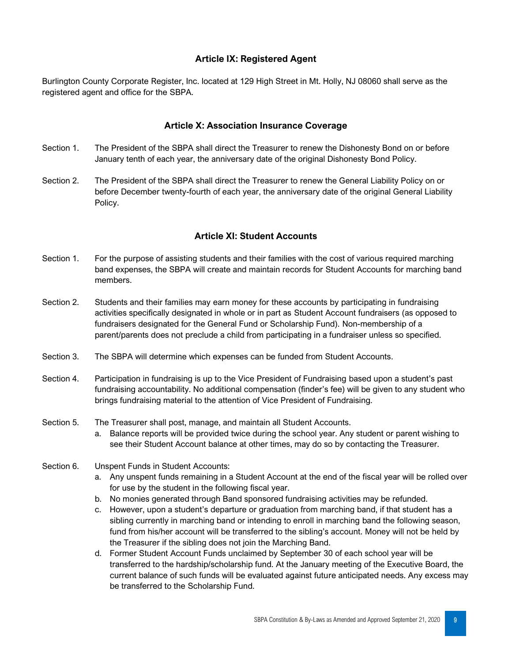#### **Article IX: Registered Agent**

Burlington County Corporate Register, Inc. located at 129 High Street in Mt. Holly, NJ 08060 shall serve as the registered agent and office for the SBPA.

#### **Article X: Association Insurance Coverage**

- Section 1. The President of the SBPA shall direct the Treasurer to renew the Dishonesty Bond on or before January tenth of each year, the anniversary date of the original Dishonesty Bond Policy.
- Section 2. The President of the SBPA shall direct the Treasurer to renew the General Liability Policy on or before December twenty-fourth of each year, the anniversary date of the original General Liability Policy.

#### **Article XI: Student Accounts**

- Section 1. For the purpose of assisting students and their families with the cost of various required marching band expenses, the SBPA will create and maintain records for Student Accounts for marching band members.
- Section 2. Students and their families may earn money for these accounts by participating in fundraising activities specifically designated in whole or in part as Student Account fundraisers (as opposed to fundraisers designated for the General Fund or Scholarship Fund). Non-membership of a parent/parents does not preclude a child from participating in a fundraiser unless so specified.
- Section 3. The SBPA will determine which expenses can be funded from Student Accounts.
- Section 4. Participation in fundraising is up to the Vice President of Fundraising based upon a student's past fundraising accountability. No additional compensation (finder's fee) will be given to any student who brings fundraising material to the attention of Vice President of Fundraising.
- Section 5. The Treasurer shall post, manage, and maintain all Student Accounts.
	- a. Balance reports will be provided twice during the school year. Any student or parent wishing to see their Student Account balance at other times, may do so by contacting the Treasurer.
- Section 6. Unspent Funds in Student Accounts:
	- a. Any unspent funds remaining in a Student Account at the end of the fiscal year will be rolled over for use by the student in the following fiscal year.
	- b. No monies generated through Band sponsored fundraising activities may be refunded.
	- c. However, upon a student's departure or graduation from marching band, if that student has a sibling currently in marching band or intending to enroll in marching band the following season, fund from his/her account will be transferred to the sibling's account. Money will not be held by the Treasurer if the sibling does not join the Marching Band.
	- d. Former Student Account Funds unclaimed by September 30 of each school year will be transferred to the hardship/scholarship fund. At the January meeting of the Executive Board, the current balance of such funds will be evaluated against future anticipated needs. Any excess may be transferred to the Scholarship Fund.